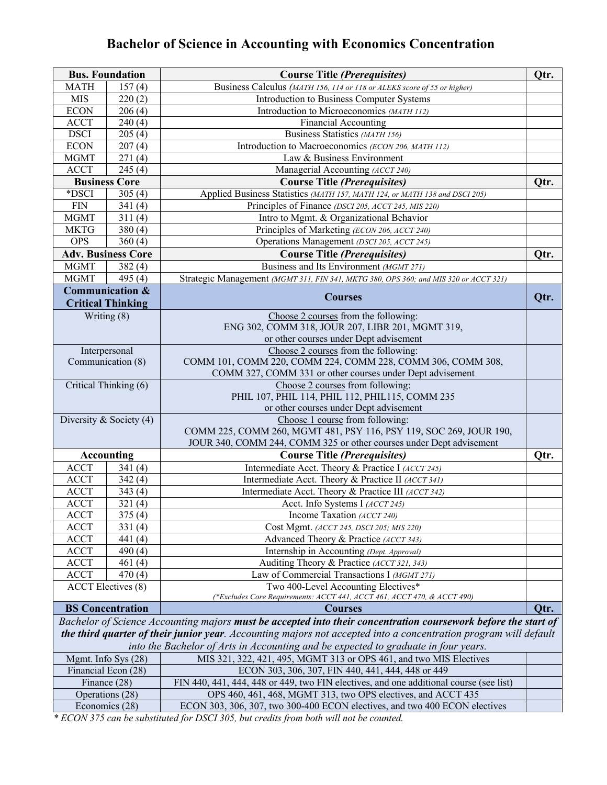# **Bachelor of Science in Accounting with Economics Concentration**

| <b>Bus. Foundation</b>     |                                                        | <b>Course Title (Prerequisites)</b>                                                                              |      |  |  |
|----------------------------|--------------------------------------------------------|------------------------------------------------------------------------------------------------------------------|------|--|--|
| <b>MATH</b><br>157(4)      |                                                        | Business Calculus (MATH 156, 114 or 118 or ALEKS score of 55 or higher)                                          |      |  |  |
| <b>MIS</b><br>220(2)       |                                                        | Introduction to Business Computer Systems                                                                        |      |  |  |
| <b>ECON</b>                | 206(4)                                                 | Introduction to Microeconomics (MATH 112)                                                                        |      |  |  |
| 240(4)<br><b>ACCT</b>      |                                                        | <b>Financial Accounting</b>                                                                                      |      |  |  |
| <b>DSCI</b><br>205(4)      |                                                        | Business Statistics (MATH 156)                                                                                   |      |  |  |
| <b>ECON</b><br>207(4)      |                                                        | Introduction to Macroeconomics (ECON 206, MATH 112)                                                              |      |  |  |
| <b>MGMT</b>                | 271(4)                                                 | Law & Business Environment                                                                                       |      |  |  |
| <b>ACCT</b>                | 245(4)                                                 | Managerial Accounting (ACCT 240)                                                                                 |      |  |  |
|                            | <b>Business Core</b>                                   | <b>Course Title (Prerequisites)</b>                                                                              | Qtr. |  |  |
| *DSCI                      | 305(4)                                                 | Applied Business Statistics (MATH 157, MATH 124, or MATH 138 and DSCI 205)                                       |      |  |  |
| <b>FIN</b>                 | 341(4)                                                 | Principles of Finance (DSCI 205, ACCT 245, MIS 220)                                                              |      |  |  |
| <b>MGMT</b>                | 311(4)                                                 | Intro to Mgmt. & Organizational Behavior                                                                         |      |  |  |
| <b>MKTG</b>                | 380(4)                                                 | Principles of Marketing (ECON 206, ACCT 240)                                                                     |      |  |  |
| <b>OPS</b>                 | 360(4)                                                 | Operations Management (DSCI 205, ACCT 245)                                                                       |      |  |  |
|                            | <b>Adv. Business Core</b>                              | <b>Course Title (Prerequisites)</b>                                                                              | Qtr. |  |  |
| <b>MGMT</b>                | 382(4)                                                 | Business and Its Environment (MGMT 271)                                                                          |      |  |  |
| <b>MGMT</b>                | 495 $(4)$                                              | Strategic Management (MGMT 311, FIN 341, MKTG 380, OPS 360; and MIS 320 or ACCT 321)                             |      |  |  |
|                            | <b>Communication &amp;</b><br><b>Critical Thinking</b> | <b>Courses</b>                                                                                                   | Qtr. |  |  |
|                            | Writing (8)                                            | Choose 2 courses from the following:                                                                             |      |  |  |
|                            |                                                        | ENG 302, COMM 318, JOUR 207, LIBR 201, MGMT 319,                                                                 |      |  |  |
|                            |                                                        | or other courses under Dept advisement                                                                           |      |  |  |
|                            | Interpersonal                                          | Choose 2 courses from the following:                                                                             |      |  |  |
|                            | Communication (8)                                      | COMM 101, COMM 220, COMM 224, COMM 228, COMM 306, COMM 308,                                                      |      |  |  |
|                            |                                                        | COMM 327, COMM 331 or other courses under Dept advisement                                                        |      |  |  |
|                            | Critical Thinking (6)                                  | Choose 2 courses from following:                                                                                 |      |  |  |
|                            |                                                        | PHIL 107, PHIL 114, PHIL 112, PHIL115, COMM 235                                                                  |      |  |  |
|                            |                                                        | or other courses under Dept advisement                                                                           |      |  |  |
|                            | Diversity & Society $(4)$                              | Choose 1 course from following:                                                                                  |      |  |  |
|                            |                                                        | COMM 225, COMM 260, MGMT 481, PSY 116, PSY 119, SOC 269, JOUR 190,                                               |      |  |  |
|                            |                                                        | JOUR 340, COMM 244, COMM 325 or other courses under Dept advisement                                              |      |  |  |
|                            | <b>Accounting</b>                                      | <b>Course Title (Prerequisites)</b>                                                                              | Qtr. |  |  |
| <b>ACCT</b>                | 341(4)                                                 | Intermediate Acct. Theory & Practice I (ACCT 245)                                                                |      |  |  |
| <b>ACCT</b>                | 342(4)                                                 | Intermediate Acct. Theory & Practice II (ACCT 341)                                                               |      |  |  |
| <b>ACCT</b>                | 343(4)                                                 | Intermediate Acct. Theory & Practice III (ACCT 342)                                                              |      |  |  |
| <b>ACCT</b>                | 321(4)                                                 | Acct. Info Systems I (ACCT 245)                                                                                  |      |  |  |
| <b>ACCT</b>                | $\overline{375(4)}$                                    | Income Taxation (ACCT 240)                                                                                       |      |  |  |
| <b>ACCT</b>                | 331(4)                                                 | Cost Mgmt. (ACCT 245, DSCI 205; MIS 220)                                                                         |      |  |  |
| <b>ACCT</b><br><b>ACCT</b> | 441 (4)                                                | Advanced Theory & Practice (ACCT 343)                                                                            |      |  |  |
|                            | 490 $(4)$<br>461 $(4)$                                 | Internship in Accounting (Dept. Approval)                                                                        |      |  |  |
| <b>ACCT</b><br><b>ACCT</b> | 470(4)                                                 | Auditing Theory & Practice (ACCT 321, 343)                                                                       |      |  |  |
|                            |                                                        | Law of Commercial Transactions I (MGMT 271)<br>Two 400-Level Accounting Electives*                               |      |  |  |
| <b>ACCT</b> Electives (8)  |                                                        | (*Excludes Core Requirements: ACCT 441, ACCT 461, ACCT 470, & ACCT 490)                                          |      |  |  |
|                            | <b>BS Concentration</b>                                | <b>Courses</b>                                                                                                   |      |  |  |
|                            |                                                        | Bachelor of Science Accounting majors must be accepted into their concentration coursework before the start of   | Qtr. |  |  |
|                            |                                                        | the third quarter of their junior year. Accounting majors not accepted into a concentration program will default |      |  |  |
|                            |                                                        | into the Bachelor of Arts in Accounting and be expected to graduate in four years.                               |      |  |  |
| Mgmt. Info Sys (28)        |                                                        | MIS 321, 322, 421, 495, MGMT 313 or OPS 461, and two MIS Electives                                               |      |  |  |
|                            | Financial Econ (28)                                    | ECON 303, 306, 307, FIN 440, 441, 444, 448 or 449                                                                |      |  |  |
|                            | Finance (28)                                           | FIN 440, 441, 444, 448 or 449, two FIN electives, and one additional course (see list)                           |      |  |  |
|                            | Operations (28)                                        | OPS 460, 461, 468, MGMT 313, two OPS electives, and ACCT 435                                                     |      |  |  |
| Economics (28)             |                                                        | ECON 303, 306, 307, two 300-400 ECON electives, and two 400 ECON electives                                       |      |  |  |

*\* ECON 375 can be substituted for DSCI 305, but credits from both will not be counted.*